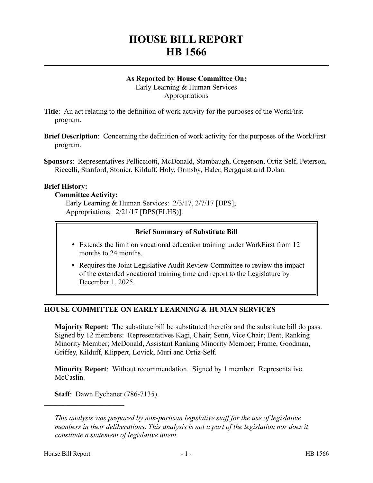# **HOUSE BILL REPORT HB 1566**

## **As Reported by House Committee On:**

Early Learning & Human Services Appropriations

**Title**: An act relating to the definition of work activity for the purposes of the WorkFirst program.

**Brief Description**: Concerning the definition of work activity for the purposes of the WorkFirst program.

**Sponsors**: Representatives Pellicciotti, McDonald, Stambaugh, Gregerson, Ortiz-Self, Peterson, Riccelli, Stanford, Stonier, Kilduff, Holy, Ormsby, Haler, Bergquist and Dolan.

## **Brief History:**

## **Committee Activity:**

Early Learning & Human Services: 2/3/17, 2/7/17 [DPS]; Appropriations: 2/21/17 [DPS(ELHS)].

## **Brief Summary of Substitute Bill**

- Extends the limit on vocational education training under WorkFirst from 12 months to 24 months.
- Requires the Joint Legislative Audit Review Committee to review the impact of the extended vocational training time and report to the Legislature by December 1, 2025.

## **HOUSE COMMITTEE ON EARLY LEARNING & HUMAN SERVICES**

**Majority Report**: The substitute bill be substituted therefor and the substitute bill do pass. Signed by 12 members: Representatives Kagi, Chair; Senn, Vice Chair; Dent, Ranking Minority Member; McDonald, Assistant Ranking Minority Member; Frame, Goodman, Griffey, Kilduff, Klippert, Lovick, Muri and Ortiz-Self.

**Minority Report**: Without recommendation. Signed by 1 member: Representative McCaslin.

**Staff**: Dawn Eychaner (786-7135).

––––––––––––––––––––––

*This analysis was prepared by non-partisan legislative staff for the use of legislative members in their deliberations. This analysis is not a part of the legislation nor does it constitute a statement of legislative intent.*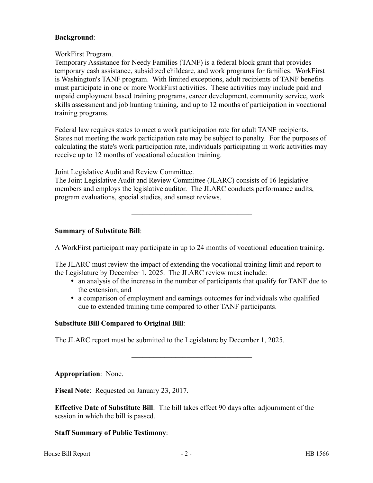### **Background**:

#### WorkFirst Program.

Temporary Assistance for Needy Families (TANF) is a federal block grant that provides temporary cash assistance, subsidized childcare, and work programs for families. WorkFirst is Washington's TANF program. With limited exceptions, adult recipients of TANF benefits must participate in one or more WorkFirst activities. These activities may include paid and unpaid employment based training programs, career development, community service, work skills assessment and job hunting training, and up to 12 months of participation in vocational training programs.

Federal law requires states to meet a work participation rate for adult TANF recipients. States not meeting the work participation rate may be subject to penalty. For the purposes of calculating the state's work participation rate, individuals participating in work activities may receive up to 12 months of vocational education training.

Joint Legislative Audit and Review Committee.

The Joint Legislative Audit and Review Committee (JLARC) consists of 16 legislative members and employs the legislative auditor. The JLARC conducts performance audits, program evaluations, special studies, and sunset reviews.

## **Summary of Substitute Bill**:

A WorkFirst participant may participate in up to 24 months of vocational education training.

–––––––––––––––––––––––––––––––––

The JLARC must review the impact of extending the vocational training limit and report to the Legislature by December 1, 2025. The JLARC review must include:

- an analysis of the increase in the number of participants that qualify for TANF due to the extension; and
- a comparison of employment and earnings outcomes for individuals who qualified due to extended training time compared to other TANF participants.

–––––––––––––––––––––––––––––––––

## **Substitute Bill Compared to Original Bill**:

The JLARC report must be submitted to the Legislature by December 1, 2025.

**Appropriation**: None.

**Fiscal Note**: Requested on January 23, 2017.

**Effective Date of Substitute Bill**: The bill takes effect 90 days after adjournment of the session in which the bill is passed.

## **Staff Summary of Public Testimony**:

House Bill Report **Figure 2** - 2 - **HB** 1566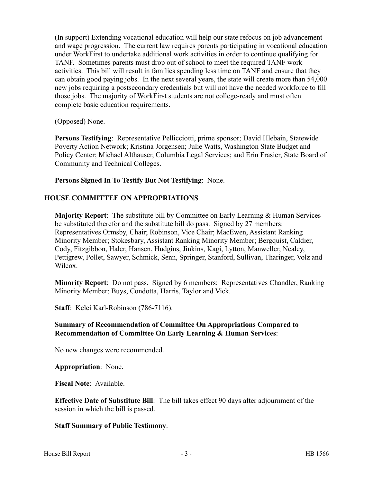(In support) Extending vocational education will help our state refocus on job advancement and wage progression. The current law requires parents participating in vocational education under WorkFirst to undertake additional work activities in order to continue qualifying for TANF. Sometimes parents must drop out of school to meet the required TANF work activities. This bill will result in families spending less time on TANF and ensure that they can obtain good paying jobs. In the next several years, the state will create more than 54,000 new jobs requiring a postsecondary credentials but will not have the needed workforce to fill those jobs. The majority of WorkFirst students are not college-ready and must often complete basic education requirements.

(Opposed) None.

**Persons Testifying**: Representative Pellicciotti, prime sponsor; David Hlebain, Statewide Poverty Action Network; Kristina Jorgensen; Julie Watts, Washington State Budget and Policy Center; Michael Althauser, Columbia Legal Services; and Erin Frasier, State Board of Community and Technical Colleges.

**Persons Signed In To Testify But Not Testifying**: None.

## **HOUSE COMMITTEE ON APPROPRIATIONS**

**Majority Report**: The substitute bill by Committee on Early Learning & Human Services be substituted therefor and the substitute bill do pass. Signed by 27 members: Representatives Ormsby, Chair; Robinson, Vice Chair; MacEwen, Assistant Ranking Minority Member; Stokesbary, Assistant Ranking Minority Member; Bergquist, Caldier, Cody, Fitzgibbon, Haler, Hansen, Hudgins, Jinkins, Kagi, Lytton, Manweller, Nealey, Pettigrew, Pollet, Sawyer, Schmick, Senn, Springer, Stanford, Sullivan, Tharinger, Volz and Wilcox.

**Minority Report**: Do not pass. Signed by 6 members: Representatives Chandler, Ranking Minority Member; Buys, Condotta, Harris, Taylor and Vick.

**Staff**: Kelci Karl-Robinson (786-7116).

## **Summary of Recommendation of Committee On Appropriations Compared to Recommendation of Committee On Early Learning & Human Services**:

No new changes were recommended.

**Appropriation**: None.

**Fiscal Note**: Available.

**Effective Date of Substitute Bill**: The bill takes effect 90 days after adjournment of the session in which the bill is passed.

## **Staff Summary of Public Testimony**: